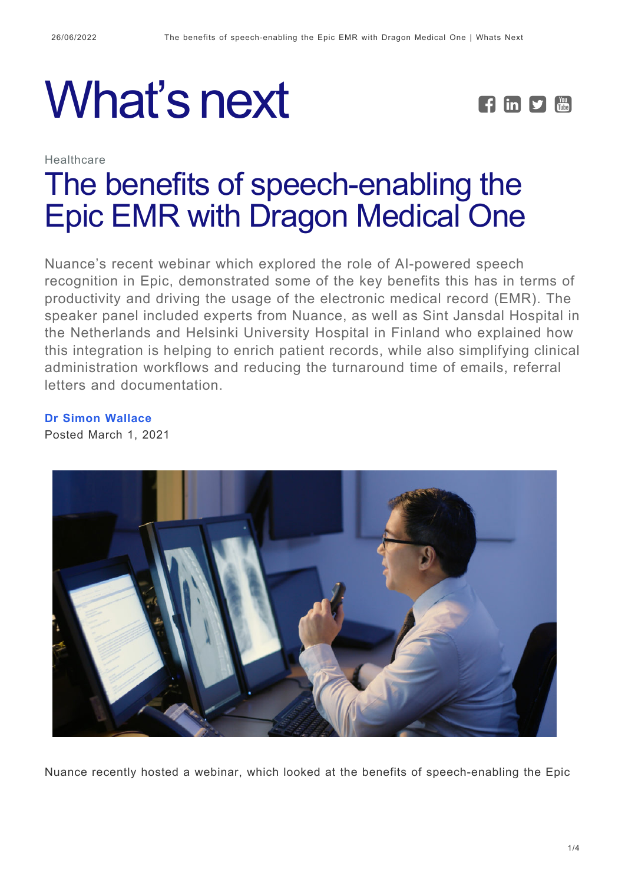# What's next **FEPE**



# **Healthcare** [The benefits of speech-enabling the](https://whatsnext.nuance.com/en-au/healthcare/how-clinicians-are-using-speech-recognition-in-the-epic-emr/) [Epic EMR with Dragon Medical One](https://whatsnext.nuance.com/en-au/healthcare/how-clinicians-are-using-speech-recognition-in-the-epic-emr/)

Nuance's recent webinar which explored the role of AI-powered speech recognition in Epic, demonstrated some of the key benefits this has in terms of productivity and driving the usage of the electronic medical record (EMR). The speaker panel included experts from Nuance, as well as Sint Jansdal Hospital in the Netherlands and Helsinki University Hospital in Finland who explained how this integration is helping to enrich patient records, while also simplifying clinical administration workflows and reducing the turnaround time of emails, referral letters and documentation.

**[Dr Simon Wallace](https://whatsnext.nuance.com/en-au/author/simonwallace/)** Posted March 1, 2021



Nuance recently hosted a webinar, which looked at the benefits of speech-enabling the Epic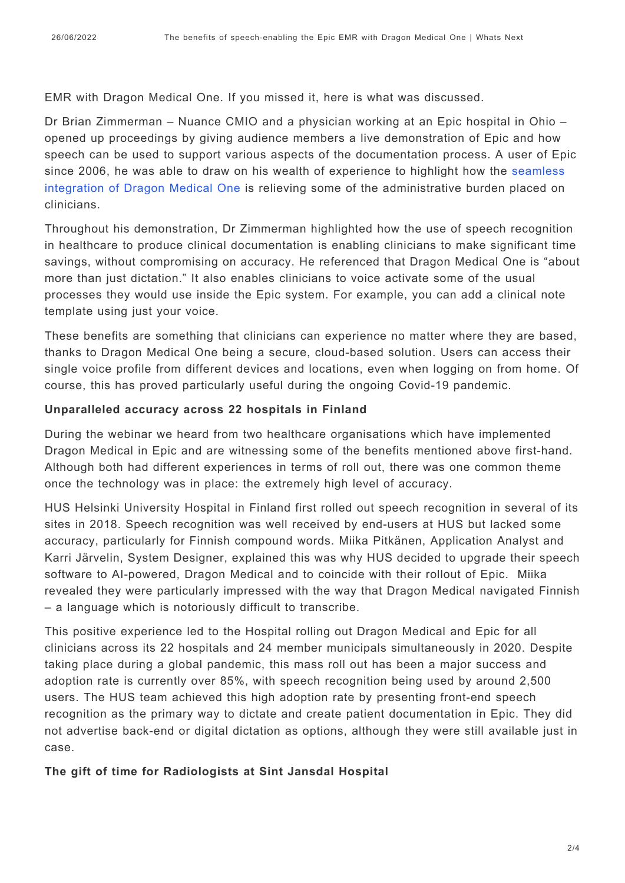EMR with Dragon Medical One. If you missed it, here is what was discussed.

Dr Brian Zimmerman – Nuance CMIO and a physician working at an Epic hospital in Ohio – opened up proceedings by giving audience members a live demonstration of Epic and how speech can be used to support various aspects of the documentation process. A user of Epic since 2006, he was able to draw on his wealth of experience to highlight how the [seamless](https://www.nuance.com/en-au/healthcare/provider-solutions/speech-recognition/dragon-medical-one.html) [integration of Dragon Medical One](https://www.nuance.com/en-au/healthcare/provider-solutions/speech-recognition/dragon-medical-one.html) is relieving some of the administrative burden placed on clinicians.

Throughout his demonstration, Dr Zimmerman highlighted how the use of speech recognition in healthcare to produce clinical documentation is enabling clinicians to make significant time savings, without compromising on accuracy. He referenced that Dragon Medical One is "about more than just dictation." It also enables clinicians to voice activate some of the usual processes they would use inside the Epic system. For example, you can add a clinical note template using just your voice.

These benefits are something that clinicians can experience no matter where they are based, thanks to Dragon Medical One being a secure, cloud-based solution. Users can access their single voice profile from different devices and locations, even when logging on from home. Of course, this has proved particularly useful during the ongoing Covid-19 pandemic.

#### **Unparalleled accuracy across 22 hospitals in Finland**

During the webinar we heard from two healthcare organisations which have implemented Dragon Medical in Epic and are witnessing some of the benefits mentioned above first-hand. Although both had different experiences in terms of roll out, there was one common theme once the technology was in place: the extremely high level of accuracy.

HUS Helsinki University Hospital in Finland first rolled out speech recognition in several of its sites in 2018. Speech recognition was well received by end-users at HUS but lacked some accuracy, particularly for Finnish compound words. Miika Pitkänen, Application Analyst and Karri Järvelin, System Designer, explained this was why HUS decided to upgrade their speech software to AI-powered, Dragon Medical and to coincide with their rollout of Epic. Miika revealed they were particularly impressed with the way that Dragon Medical navigated Finnish – a language which is notoriously difficult to transcribe.

This positive experience led to the Hospital rolling out Dragon Medical and Epic for all clinicians across its 22 hospitals and 24 member municipals simultaneously in 2020. Despite taking place during a global pandemic, this mass roll out has been a major success and adoption rate is currently over 85%, with speech recognition being used by around 2,500 users. The HUS team achieved this high adoption rate by presenting front-end speech recognition as the primary way to dictate and create patient documentation in Epic. They did not advertise back-end or digital dictation as options, although they were still available just in case.

#### **The gift of time for Radiologists at Sint Jansdal Hospital**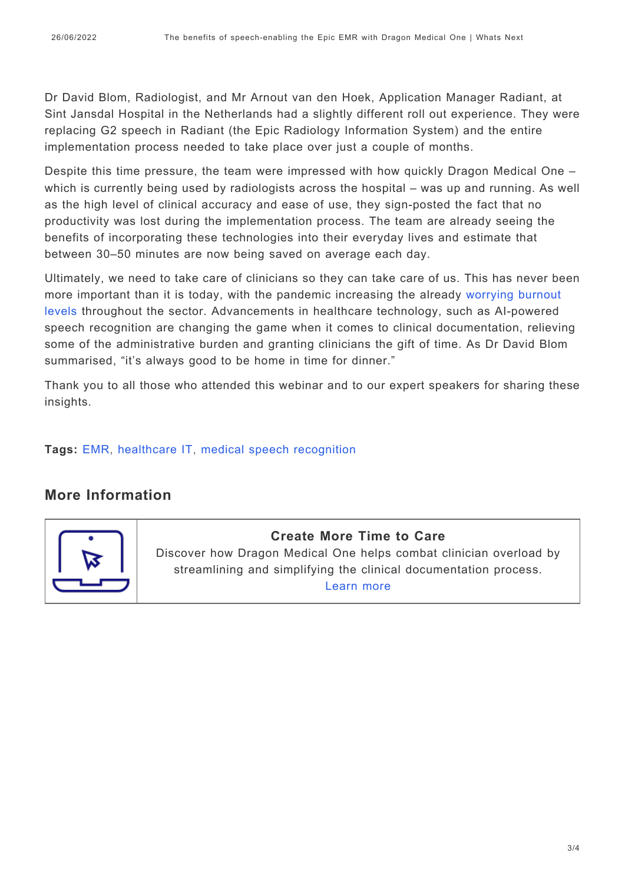Dr David Blom, Radiologist, and Mr Arnout van den Hoek, Application Manager Radiant, at Sint Jansdal Hospital in the Netherlands had a slightly different roll out experience. They were replacing G2 speech in Radiant (the Epic Radiology Information System) and the entire implementation process needed to take place over just a couple of months.

Despite this time pressure, the team were impressed with how quickly Dragon Medical One – which is currently being used by radiologists across the hospital – was up and running. As well as the high level of clinical accuracy and ease of use, they sign-posted the fact that no productivity was lost during the implementation process. The team are already seeing the benefits of incorporating these technologies into their everyday lives and estimate that between 30–50 minutes are now being saved on average each day.

Ultimately, we need to take care of clinicians so they can take care of us. This has never been more important than it is today, with the pandemic increasing the already [worrying burnout](https://www.nuance.com/en-au/healthcare/campaign/reduce-clinician-overload.html?cid=7010W000002TBSKQA4&utm_campaign=AHM-WL-2021-clinicianoverloadinfohub&utm_medium=Organic&utm_source=whats_next_blog) [levels](https://www.nuance.com/en-au/healthcare/campaign/reduce-clinician-overload.html?cid=7010W000002TBSKQA4&utm_campaign=AHM-WL-2021-clinicianoverloadinfohub&utm_medium=Organic&utm_source=whats_next_blog) throughout the sector. Advancements in healthcare technology, such as AI-powered speech recognition are changing the game when it comes to clinical documentation, relieving some of the administrative burden and granting clinicians the gift of time. As Dr David Blom summarised, "it's always good to be home in time for dinner."

Thank you to all those who attended this webinar and to our expert speakers for sharing these insights.

**Tags:** [EMR,](https://whatsnext.nuance.com/en-au/tag/emr-2/) [healthcare IT,](https://whatsnext.nuance.com/en-au/tag/healthcare-it-3/) [medical speech recognition](https://whatsnext.nuance.com/en-au/tag/medical-speech-recognition/)

# **More Information**



## **Create More Time to Care**

Discover how Dragon Medical One helps combat clinician overload by streamlining and simplifying the clinical documentation process. [Learn more](https://www.nuance.com/en-au/healthcare/campaign/reduce-clinician-overload.html?cid=7010W000002TBSKQA4&utm_campaign=AHM-WL-2021-clinicianoverloadinfohub&utm_medium=Organic&utm_source=whats_next_blog)